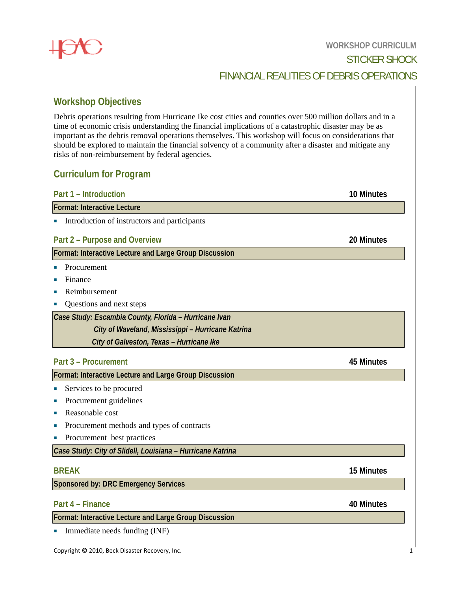# **Workshop Objectives**

Debris operations resulting from Hurricane Ike cost cities and counties over 500 million dollars and in a time of economic crisis understanding the financial implications of a catastrophic disaster may be as important as the debris removal operations themselves. This workshop will focus on considerations that should be explored to maintain the financial solvency of a community after a disaster and mitigate any risks of non-reimbursement by federal agencies. **sssssRRICULM**

## **Curriculum for Program**

| Part 1 – Introduction |  |
|-----------------------|--|
|-----------------------|--|

Format: Interactive Lecture

**Introduction of instructors and participants** 

## **Part 2 – P Purpose and Overview**

## **Format: Interactive Lecture and Large Group Discussion**

- Procurement
- **Finance**
- **Reimbursement**
- Questions and next steps

*Case Study: Escambia County, Florida - Hurricane Ivan City of Waveland, Mississippi – Hurricane Katrina City of Galveston, Texas – Hurricane Ike* 

## **Part 3 – P Procurement**

## **Format: Interactive Lecture and Large Group Discussion**

- **Services** to be procured
- Procurement guidelines
- Reasonable cost
- Procurement methods and types of contracts
- Procurement best practices

Case Study: City of Slidell, Louisiana - Hurricane Katrina

### **BREAK**

**Sponsored by: DRC Emergency Services** 

## **Part 4 – F Finance**

**Format: Interactive Lecture and Large Group Discussion** 

• Immediate needs funding (INF)

## FINANCIAL REALITIES OF DEBRIS OPERATIONS

## **20 Minutes**

**10 Minutes**

## **45 Minutes**

# **15 Minutes**

**40 Minutes**

1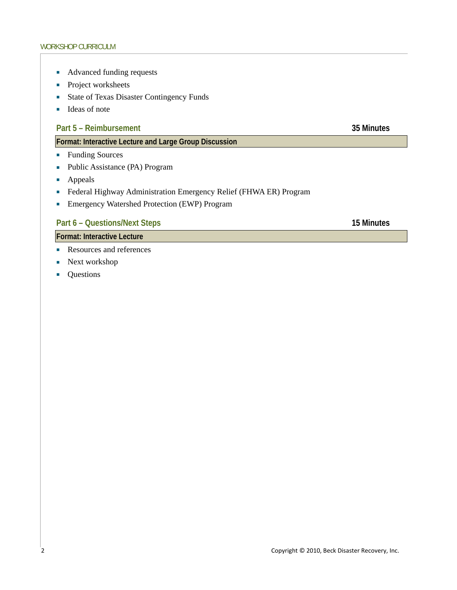- Advanced funding requests
- Project worksheets
- **State of Texas Disaster Contingency Funds**
- $\blacksquare$  Ideas of note

## Part 5 – Reimbursement 35 Minutes

## **Format: Interactive Lecture and Large Group Discussion**

- Funding Sources
- Public Assistance (PA) Program
- **Appeals**
- Federal Highway Administration Emergency Relief (FHWA ER) Program
- **Emergency Watershed Protection (EWP) Program**

## Part 6 – Questions/Next Steps 15 Minutes

**Format: Interactive Lecture** 

- Resources and references
- Next workshop
- Questions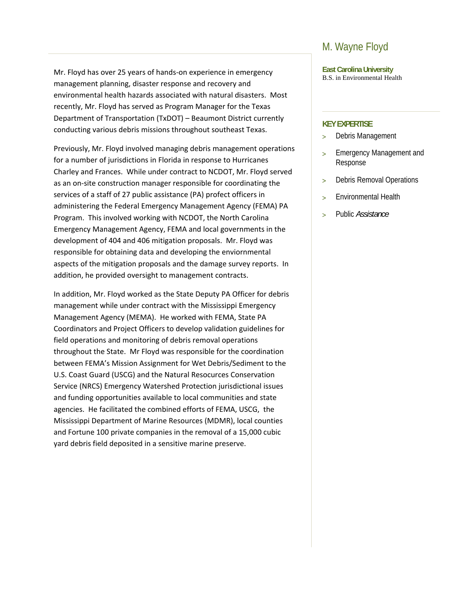Mr. Floyd has over 25 years of hands‐on experience in emergency management planning, disaster response and recovery and environmental health hazards associated with natural disasters. Most recently, Mr. Floyd has served as Program Manager for the Texas Department of Transportation (TxDOT) – Beaumont District currently conducting various debris missions throughout southeast Texas.

Previously, Mr. Floyd involved managing debris management operations for a number of jurisdictions in Florida in response to Hurricanes Charley and Frances. While under contract to NCDOT, Mr. Floyd served as an on‐site construction manager responsible for coordinating the services of a staff of 27 public assistance (PA) profect officers in administering the Federal Emergency Management Agency (FEMA) PA Program. This involved working with NCDOT, the North Carolina Emergency Management Agency, FEMA and local governments in the development of 404 and 406 mitigation proposals. Mr. Floyd was responsible for obtaining data and developing the enviornmental aspects of the mitigation proposals and the damage survey reports. In addition, he provided oversight to management contracts.

In addition, Mr. Floyd worked as the State Deputy PA Officer for debris management while under contract with the Mississippi Emergency Management Agency (MEMA). He worked with FEMA, State PA Coordinators and Project Officers to develop validation guidelines for field operations and monitoring of debris removal operations throughout the State. Mr Floyd was responsible for the coordination between FEMA's Mission Assignment for Wet Debris/Sediment to the U.S. Coast Guard (USCG) and the Natural Resocurces Conservation Service (NRCS) Emergency Watershed Protection jurisdictional issues and funding opportunities available to local communities and state agencies. He facilitated the combined efforts of FEMA, USCG, the Mississippi Department of Marine Resources (MDMR), local counties and Fortune 100 private companies in the removal of a 15,000 cubic yard debris field deposited in a sensitive marine preserve.

# M. Wayne Floyd

**East Carolina University**  B.S. in Environmental Health

### **KEY EXPERTISE**

- > Debris Management
- > Emergency Management and Response
- > Debris Removal Operations
- > Environmental Health
- > Public *Assistance*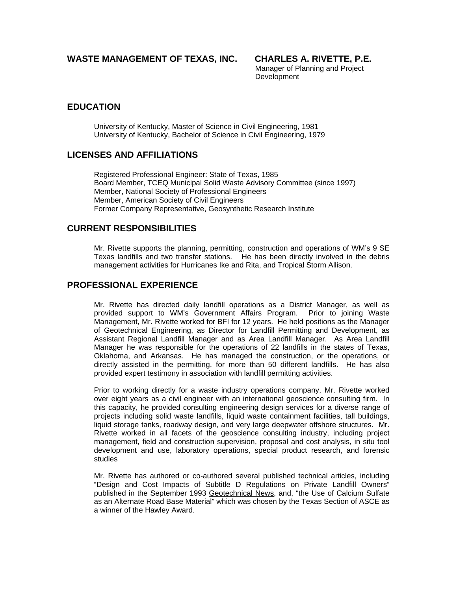## **WASTE MANAGEMENT OF TEXAS, INC. CHARLES A. RIVETTE, P.E.**

Manager of Planning and Project Development

## **EDUCATION**

University of Kentucky, Master of Science in Civil Engineering, 1981 University of Kentucky, Bachelor of Science in Civil Engineering, 1979

## **LICENSES AND AFFILIATIONS**

Registered Professional Engineer: State of Texas, 1985 Board Member, TCEQ Municipal Solid Waste Advisory Committee (since 1997) Member, National Society of Professional Engineers Member, American Society of Civil Engineers Former Company Representative, Geosynthetic Research Institute

## **CURRENT RESPONSIBILITIES**

Mr. Rivette supports the planning, permitting, construction and operations of WM's 9 SE Texas landfills and two transfer stations. He has been directly involved in the debris management activities for Hurricanes Ike and Rita, and Tropical Storm Allison.

## **PROFESSIONAL EXPERIENCE**

Mr. Rivette has directed daily landfill operations as a District Manager, as well as provided support to WM's Government Affairs Program. Prior to joining Waste Management, Mr. Rivette worked for BFI for 12 years. He held positions as the Manager of Geotechnical Engineering, as Director for Landfill Permitting and Development, as Assistant Regional Landfill Manager and as Area Landfill Manager. As Area Landfill Manager he was responsible for the operations of 22 landfills in the states of Texas, Oklahoma, and Arkansas. He has managed the construction, or the operations, or directly assisted in the permitting, for more than 50 different landfills. He has also provided expert testimony in association with landfill permitting activities.

Prior to working directly for a waste industry operations company, Mr. Rivette worked over eight years as a civil engineer with an international geoscience consulting firm. In this capacity, he provided consulting engineering design services for a diverse range of projects including solid waste landfills, liquid waste containment facilities, tall buildings, liquid storage tanks, roadway design, and very large deepwater offshore structures. Mr. Rivette worked in all facets of the geoscience consulting industry, including project management, field and construction supervision, proposal and cost analysis, in situ tool development and use, laboratory operations, special product research, and forensic studies

Mr. Rivette has authored or co-authored several published technical articles, including "Design and Cost Impacts of Subtitle D Regulations on Private Landfill Owners" published in the September 1993 Geotechnical News, and, "the Use of Calcium Sulfate as an Alternate Road Base Material" which was chosen by the Texas Section of ASCE as a winner of the Hawley Award.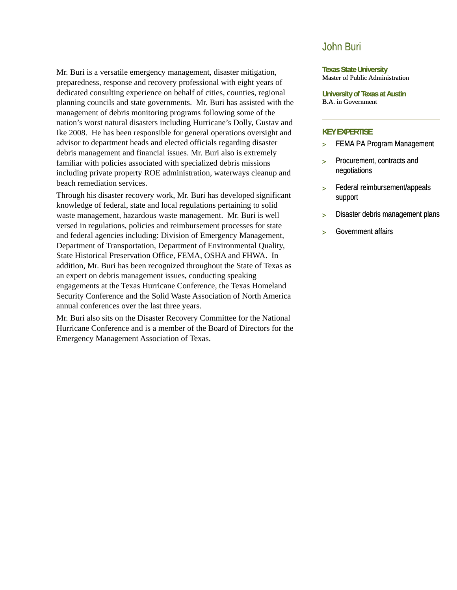Mr. Buri is a versatile emergency management, disaster mitigation, preparedness, response and recovery professional with eight years of dedicated consulting experience on behalf of cities, counties, regional planning councils and state governments. Mr. Buri has assisted with the management of debris monitoring programs following some of the nation's worst natural disasters including Hurricane's Dolly, Gustav and Ike 2008. He has been responsible for general operations oversight and advisor to department heads and elected officials regarding disaster debris management and financial issues. Mr. Buri also is extremely familiar with policies associated with specialized debris missions including private property ROE administration, waterways cleanup and beach remediation services.

Through his disaster recovery work, Mr. Buri has developed significant knowledge of federal, state and local regulations pertaining to solid waste management, hazardous waste management. Mr. Buri is well versed in regulations, policies and reimbursement processes for state and federal agencies including: Division of Emergency Management, Department of Transportation, Department of Environmental Quality, State Historical Preservation Office, FEMA, OSHA and FHWA. In addition, Mr. Buri has been recognized throughout the State of Texas as an expert on debris management issues, conducting speaking engagements at the Texas Hurricane Conference, the Texas Homeland Security Conference and the Solid Waste Association of North America annual conferences over the last three years.

Mr. Buri also sits on the Disaster Recovery Committee for the National Hurricane Conference and is a member of the Board of Directors for the Emergency Management Association of Texas.

## John Buri

**Texas State University**  Master of Public Administration

**University of Texas at Austin**  B.A. in Government

### **KEY EXPERTISE**

- > FEMA PA Program Management
- > Procurement, contracts and negotiations
- > Federal reimbursement/appeals support
- > Disaster debris management plans
- > Government affairs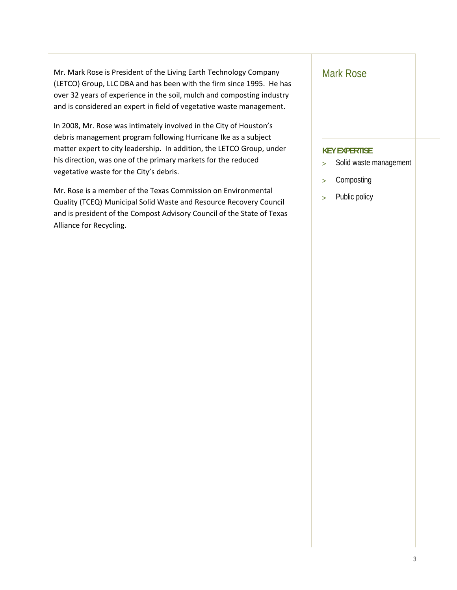Mr. Mark Rose is President of the Living Earth Technology Company (LETCO) Group, LLC DBA and has been with the firm since 1995. He has over 32 years of experience in the soil, mulch and composting industry and is considered an expert in field of vegetative waste management.

In 2008, Mr. Rose was intimately involved in the City of Houston's debris management program following Hurricane Ike as a subject matter expert to city leadership. In addition, the LETCO Group, under his direction, was one of the primary markets for the reduced vegetative waste for the City's debris.

Mr. Rose is a member of the Texas Commission on Environmental Quality (TCEQ) Municipal Solid Waste and Resource Recovery Council and is president of the Compost Advisory Council of the State of Texas Alliance for Recycling.

## Mark Rose

## **KEY EXPERTISE**

- > Solid waste management
- > Composting
- > Public policy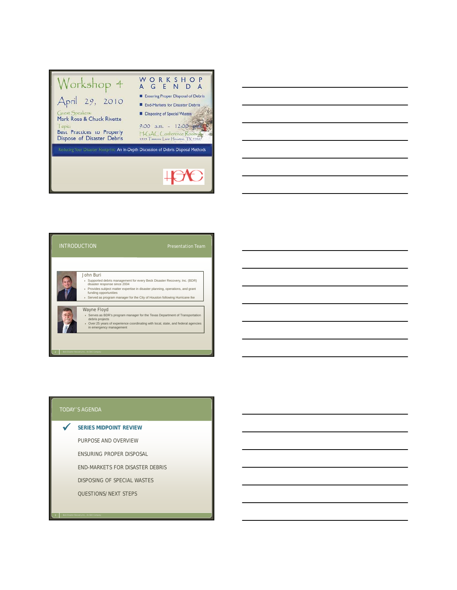

# John Buri INTRODUCTION

Supported debris management for every Beck Disaster Recovery, Inc. (BDR)<br>disaster response since 2004<br>Provides subject matter expertise in disaster planning, operations, and grant<br>funding opportunities<br>Served as program ma

Wayne Floyd

Serves as BDR's program manager for the Texas Department of Transportation debris projects Over 25 years of experience coordinating with local, state, and federal agencies in emergency management

*3 Beck Disaster Recovery Inc., An SAIC Company*

**SERIES MIDPOINT REVIEW**  $\checkmark$ 

PURPOSE AND OVERVIEW

ENSURING PROPER DISPOSAL

END-MARKETS FOR DISASTER DEBRIS

DISPOSING OF SPECIAL WASTES

QUESTIONS/NEXT STEPS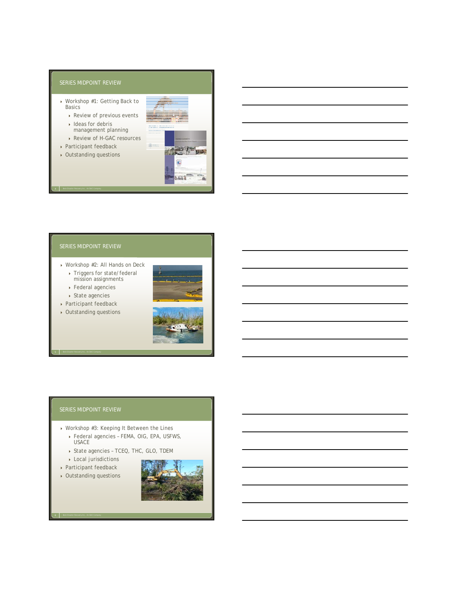### SERIES MIDPOINT REVIEW

- Workshop #1: Getting Back to Basics
	- ▶ Review of previous events  $\rightarrow$  Ideas for debris
	- management planning
	- ▶ Review of H-GAC resources
- ▶ Participant feedback
- Outstanding questions

*4 Beck Disaster Recovery Inc., An SAIC Company*



## SERIES MIDPOINT REVIEW

- Workshop #2: All Hands on Deck
	- Triggers for state/federal mission assignments
	- Federal agencies
	- State agencies
- Participant feedback
- Outstanding questions



### SERIES MIDPOINT REVIEW

- ▶ Workshop #3: Keeping It Between the Lines
	- Federal agencies FEMA, OIG, EPA, USFWS, USACE
	- ▶ State agencies TCEQ, THC, GLO, TDEM
	- Local jurisdictions
- Participant feedback
- Outstanding questions

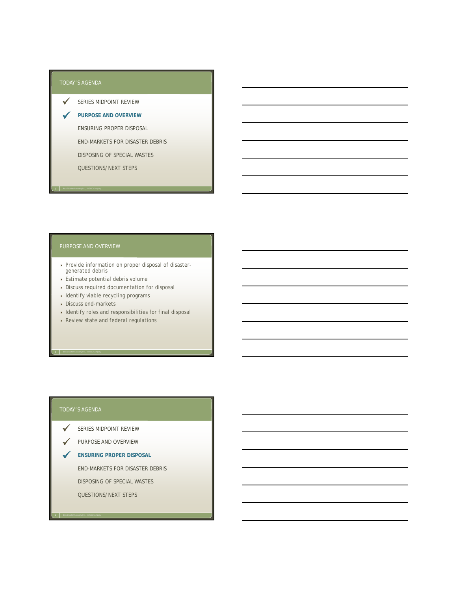$\checkmark$ 

SERIES MIDPOINT REVIEW  $\checkmark$ 

**PURPOSE AND OVERVIEW**

ENSURING PROPER DISPOSAL

END-MARKETS FOR DISASTER DEBRIS

DISPOSING OF SPECIAL WASTES

QUESTIONS/NEXT STEPS

### PURPOSE AND OVERVIEW

- Provide information on proper disposal of disaster-generated debris
- Estimate potential debris volume
- Discuss required documentation for disposal
- $\rightarrow$  Identify viable recycling programs
- Discuss end-markets
- $\rightarrow$  Identify roles and responsibilities for final disposal
- ▶ Review state and federal regulations

*9 Beck Disaster Recovery Inc., An SAIC Company*

- SERIES MIDPOINT REVIEW  $\checkmark$
- V PURPOSE AND OVERVIEW
- **ENSURING PROPER DISPOSAL**

END-MARKETS FOR DISASTER DEBRIS

DISPOSING OF SPECIAL WASTES

QUESTIONS/NEXT STEPS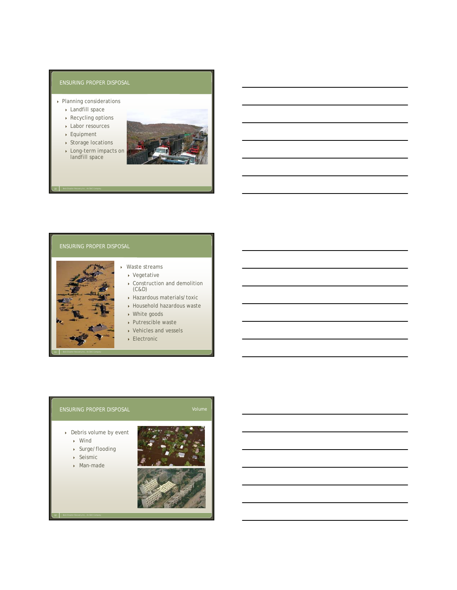- ▶ Planning considerations
	- Landfill space
	- ▶ Recycling options
	- Labor resources
	- Equipment ▶ Storage locations

*10 Beck Disaster Recovery Inc., An SAIC Company*



### ENSURING PROPER DISPOSAL



## Waste streams

- Vegetative
- Construction and demolition (C&D)
- Hazardous materials/toxic
- Household hazardous waste
- ▶ White goods
- Putrescible waste Vehicles and vessels
- 
- Electronic

## ENSURING PROPER DISPOSAL Volume CONTEXT Volume

- Debris volume by event
	- Wind
	- Surge/flooding
	- Seismic
	- Man-made



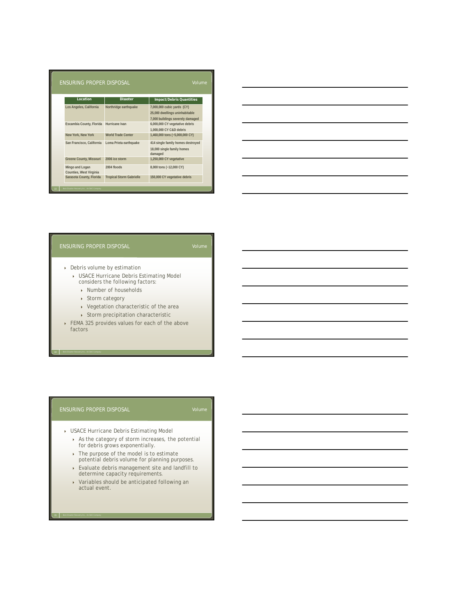| ENSURING PROPER DISPOSAL<br>Volume         |                                 |                                                                                                  |  |  |  |  |
|--------------------------------------------|---------------------------------|--------------------------------------------------------------------------------------------------|--|--|--|--|
| Location                                   | <b>Disaster</b>                 | <b>Impact/Debris Quantities</b>                                                                  |  |  |  |  |
| Los Angeles, California                    | Northridge earthquake           | 7,000,000 cubic yards (CY)<br>25,000 dwellings uninhabitable<br>7,000 buildings severely damaged |  |  |  |  |
| Escambia County, Florida                   | Hurricane Ivan                  | 6,000,000 CY vegetative debris<br>1,000,000 CY C&D debris                                        |  |  |  |  |
| New York, New York                         | <b>World Trade Center</b>       | 1,460,000 tons (~5,000,000 CY)                                                                   |  |  |  |  |
| San Francisco, California                  | Loma Prieta earthquake          | 414 single family homes destroyed<br>18,000 single family homes<br>damaged                       |  |  |  |  |
| Greene County, Missouri                    | 2006 ice storm                  | 1,250,000 CY vegetative                                                                          |  |  |  |  |
| Mingo and Logan<br>Counties, West Virginia | 2004 floods                     | 8,000 tons (~12,000 CY)                                                                          |  |  |  |  |
| Sarasota County, Florida                   | <b>Tropical Storm Gabrielle</b> | 150,000 CY vegetative debris                                                                     |  |  |  |  |

| <u> 1989 - Johann Stoff, deutscher Stoff, der Stoff, der Stoff, der Stoff, der Stoff, der Stoff, der Stoff, der S</u> |  |  |
|-----------------------------------------------------------------------------------------------------------------------|--|--|
| <u> 1989 - Andrea Santa Andrea Andrea Andrea Andrea Andrea Andrea Andrea Andrea Andrea Andrea Andrea Andrea Andr</u>  |  |  |
|                                                                                                                       |  |  |
| <u> 1989 - Johann Stein, marwolaethau a bhann an t-Amhair an t-Amhair an t-Amhair an t-Amhair an t-Amhair an t-A</u>  |  |  |
|                                                                                                                       |  |  |
|                                                                                                                       |  |  |

- Debris volume by estimation
	- USACE Hurricane Debris Estimating Model considers the following factors:
		- ▶ Number of households
		- ▶ Storm category
		- Vegetation characteristic of the area
		- $\rightarrow$  Storm precipitation characteristic
- FEMA 325 provides values for each of the above factors

### ENSURING PROPER DISPOSAL

- USACE Hurricane Debris Estimating Model
	- As the category of storm increases, the potential for debris grows exponentially.
	- $\rightarrow$  The purpose of the model is to estimate potential debris volume for planning purposes.
	- Evaluate debris management site and landfill to determine capacity requirements.
	- Variables should be anticipated following an actual event.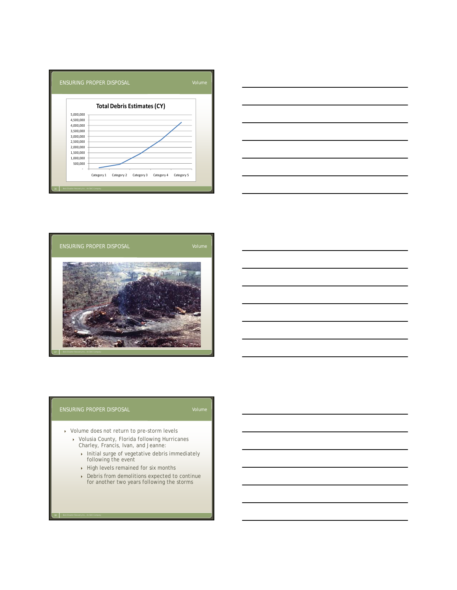





- ▶ Volume does not return to pre-storm levels
	- Volusia County, Florida following Hurricanes Charley, Francis, Ivan, and Jeanne:
		- Initial surge of vegetative debris immediately<br>following the event
		- $\rightarrow$  High levels remained for six months
		- Debris from demolitions expected to continue for another two years following the storms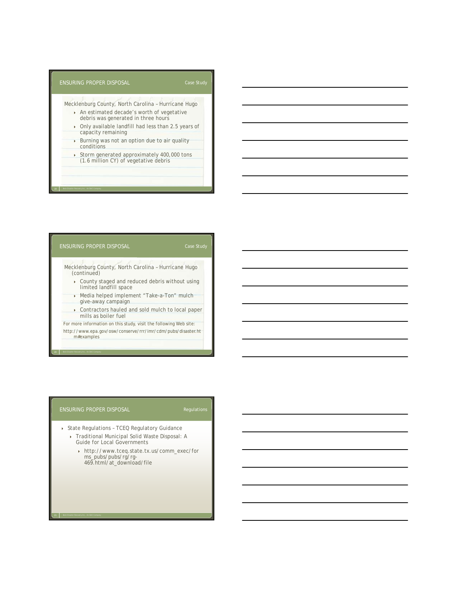### ENSURING PROPER DISPOSAL Mecklenburg County, North Carolina – Hurricane Hugo An estimated decade's worth of vegetative debris was generated in three hours Only available landfill had less than 2.5 years of capacity remaining Case Study Burning was not an option due to air quality conditions ▶ Storm generated approximately 400,000 tons (1.6 million CY) of vegetative debris

## ENSURING PROPER DISPOSAL Mecklenburg County, North Carolina – Hurricane Hugo (continued) County staged and reduced debris without using limited landfill space ■ Media helped implement "Take-a-Ton" mulch<br>give-away campaign Case Study Contractors hauled and sold mulch to local paper

mills as boiler fuel For more information on this study, visit the following Web site: http://www.epa.gov/osw/conserve/rrr/imr/cdm/pubs/disaster.ht m#examples

### ENSURING PROPER DISPOSAL

*21 Beck Disaster Recovery Inc., An SAIC Company*

- ▶ State Regulations TCEQ Regulatory Guidance Traditional Municipal Solid Waste Disposal: A
	- Guide for Local Governments http://www.tceq.state.tx.us/comm\_exec/for
		- ms pubs/pubs/rg/rg-ms\_pubs/pubs/rg/rg 469.html/at\_download/file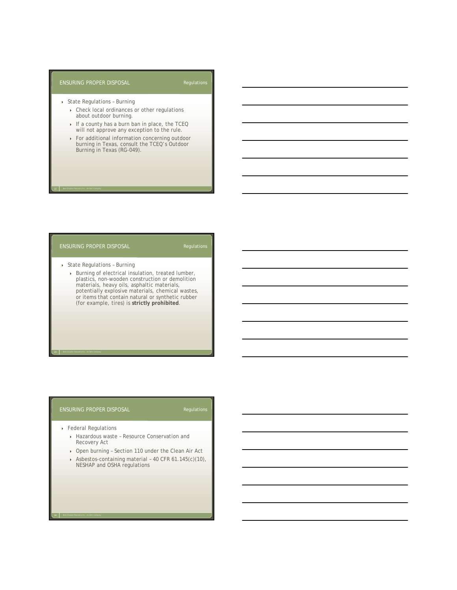- State Regulations Burning
	- ▶ Check local ordinances or other regulations about outdoor burning.
	- If a county has a burn ban in place, the TCEQ will not approve any exception to the rule.
	- For additional information concerning outdoor burning in Texas, consult the TCEQ's Outdoor Burning in Texas (RG-049).

### ENSURING PROPER DISPOSAL

*22 Beck Disaster Recovery Inc., An SAIC Company*

- State Regulations Burning
	- Burning of electrical insulation, treated lumber, plastics, non-wooden construction or demolition materials, heavy oils, asphaltic materials, potentially explosive materials, chemical wastes, or items that contain natural or synthetic rubber (for example, tires) is **strictly prohibited**.

### ENSURING PROPER DISPOSAL

Federal Regulations

- ▶ Hazardous waste Resource Conservation and Recovery Act
- Open burning Section 110 under the Clean Air Act
- ▶ Asbestos-containing material 40 CFR 61.145(c)(10),<br>NESHAP and OSHA regulations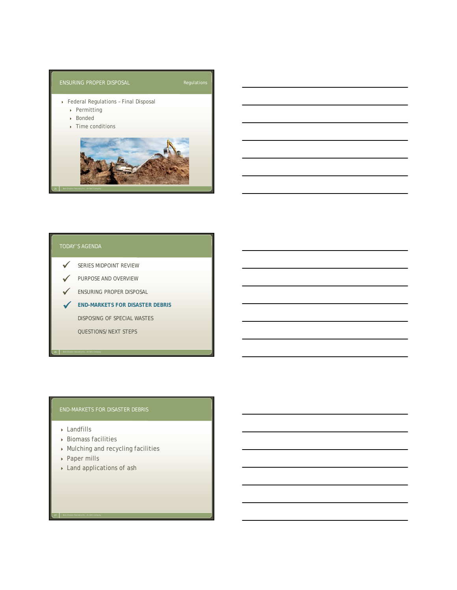

- SERIES MIDPOINT REVIEW  $\checkmark$
- V PURPOSE AND OVERVIEW
- **V** ENSURING PROPER DISPOSAL
- **END-MARKETS FOR DISASTER DEBRIS**

DISPOSING OF SPECIAL WASTES

QUESTIONS/NEXT STEPS

## END-MARKETS FOR DISASTER DEBRIS

- ▶ Landfills
- Biomass facilities
- Mulching and recycling facilities
- ▶ Paper mills

*27 Beck Disaster Recovery Inc., An SAIC Company*

Land applications of ash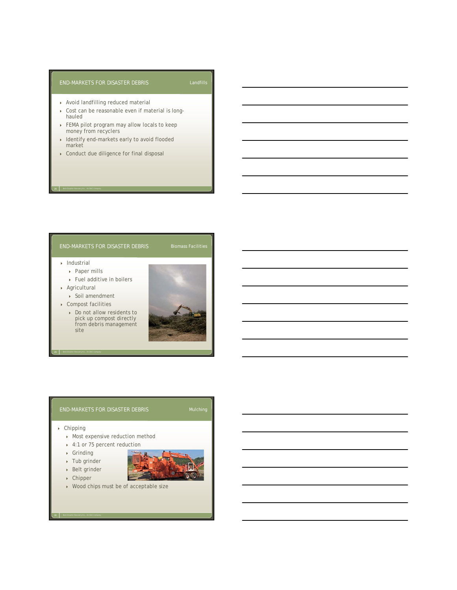### END-MARKETS FOR DISASTER DEBRIS

- Avoid landfilling reduced material
- Cost can be reasonable even if material is longhauled
- FEMA pilot program may allow locals to keep money from recyclers
- Identify end-markets early to avoid flooded market
- Conduct due diligence for final disposal

### END-MARKETS FOR DISASTER DEBRIS Biomass Facilities

 $\blacktriangleright$  Industrial

*28 Beck Disaster Recovery Inc., An SAIC Company*

- ▶ Paper mills
- ▶ Fuel additive in boilers
- Agricultural
	- Soil amendment
- Compost facilities
	- Do not allow residents to pick up compost directly from debris management site



## END-MARKETS FOR DISASTER DEBRIS Mulching

### Chipping

- Most expensive reduction method
- 4:1 or 75 percent reduction
- Grinding
- Tub grinder
- Belt grinder Chipper
- 
- Wood chips must be of acceptable size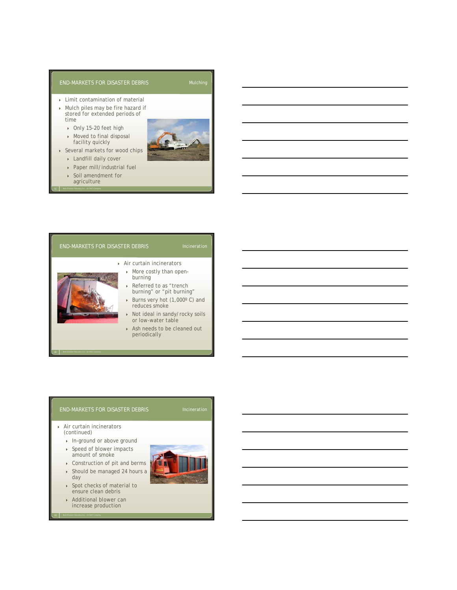### END-MARKETS FOR DISASTER DEBRIS Mulching

- Limit contamination of material
- Mulch piles may be fire hazard if stored for extended periods of time
	- ▶ Only 15-20 feet high
	- Moved to final disposal facility quickly
- Several markets for wood chips
	- Landfill daily cover
	- Paper mill/industrial fuel
	- Soil amendment for agriculture



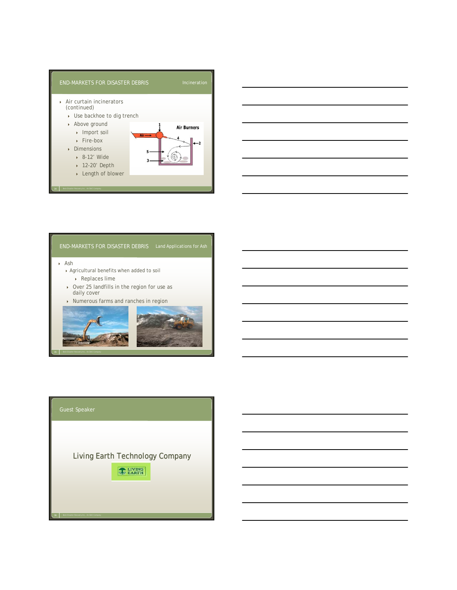



Ash

- Agricultural benefits when added to soil  $\rightarrow$  Replaces lime
- ▶ Over 25 landfills in the region for use as daily cover
- ▶ Numerous farms and ranches in region



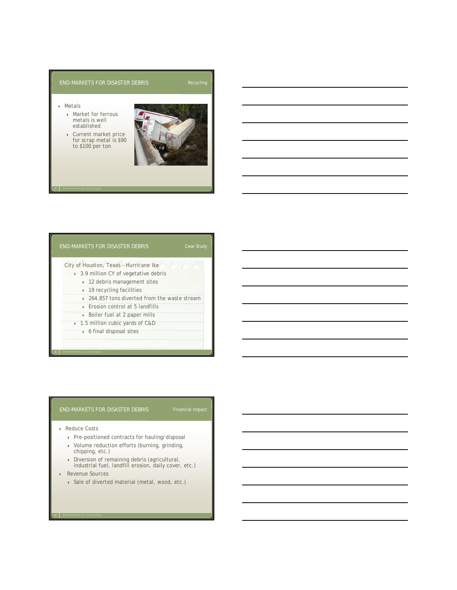### END-MARKETS FOR DISASTER DEBRIS Recycling

### Metals

- ▶ Market for ferrous metals is well established
- Current market price for scrap metal is \$90 to \$100 per ton



*37 Beck Disaster Recovery Inc., An SAIC Company*



### END-MARKETS FOR DISASTER DEBRIS Financial Impact

▶ Reduce Costs

*38 Beck Disaster Recovery Inc., An SAIC Company*

- Pre-positioned contracts for hauling/disposal
- Volume reduction efforts (burning, grinding, chipping, etc.)
- Diversion of remaining debris (agricultural,
- industrial fuel, landfill erosion, daily cover, etc.)
- Revenue Sources

*39 Beck Disaster Recovery Inc., An SAIC Company*

Sale of diverted material (metal, wood, etc.)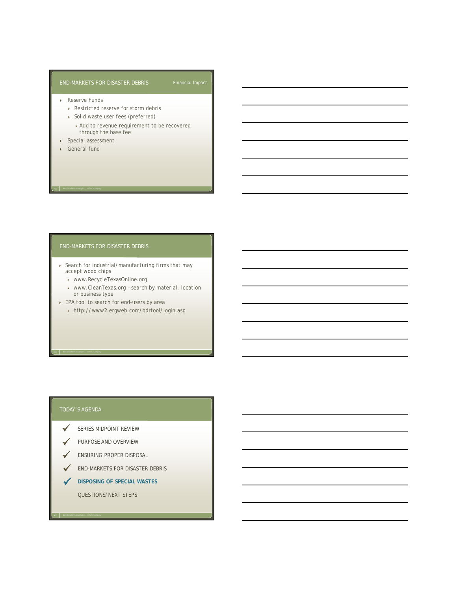### END-MARKETS FOR DISASTER DEBRIS Financial Impact

- ▶ Reserve Funds
	- ▶ Restricted reserve for storm debris
	- ▶ Solid waste user fees (preferred)
		- Add to revenue requirement to be recovered through the base fee
- Special assessment
- General fund

*40 Beck Disaster Recovery Inc., An SAIC Company*

### END-MARKETS FOR DISASTER DEBRIS

- Search for industrial/manufacturing firms that may accept wood chips
	- www.RecycleTexasOnline.org
	- www.CleanTexas.org search by material, location or business type
- ▶ EPA tool to search for end-users by area
	- http://www2.ergweb.com/bdrtool/login.asp

- SERIES MIDPOINT REVIEW  $\checkmark$
- PURPOSE AND OVERVIEW  $\checkmark$
- ENSURING PROPER DISPOSAL  $\checkmark$
- END-MARKETS FOR DISASTER DEBRIS  $\sqrt{2}$
- **DISPOSING OF SPECIAL WASTES** QUESTIONS/NEXT STEPS  $\checkmark$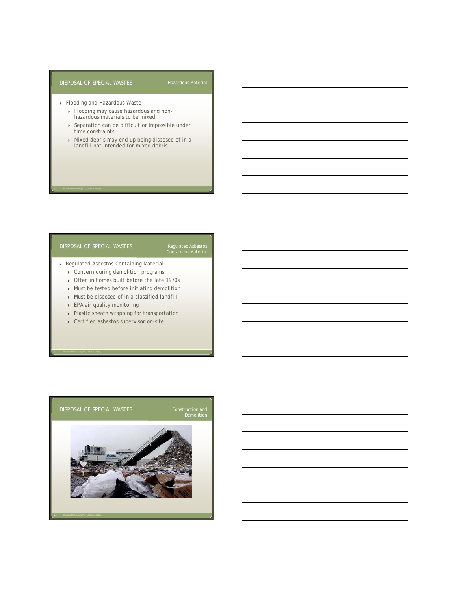### DISPOSAL OF SPECIAL WASTES

- ▶ Flooding and Hazardous Waste
	- Flooding may cause hazardous and non-hazardous materials to be mixed.
	- ▶ Separation can be difficult or impossible under time constraints .
	- Mixed debris may end up being disposed of in a landfill not intended for mixed debris.

### DISPOSAL OF SPECIAL WASTES

*43 Beck Disaster Recovery Inc., An SAIC Company*

## Regulated Asbestos Containing-Material

- Regulated Asbestos-Containing Material
	- **Concern during demolition programs**
	- ▶ Often in homes built before the late 1970s
	- Must be tested before initiating demolition
	- $\rightarrow$  Must be disposed of in a classified landfill
	- ▶ EPA air quality monitoring
	- Plastic sheath wrapping for transportation
	- Certified asbestos supervisor on-site

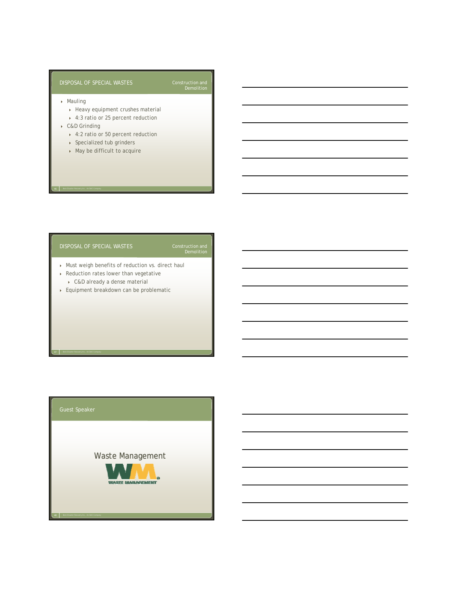### DISPOSAL OF SPECIAL WASTES

- Mauling
	- $\rightarrow$  Heavy equipment crushes material
	- 4:3 ratio or 25 percent reduction
- ▶ C&D Grinding

*46 Beck Disaster Recovery Inc., An SAIC Company*

- 4:2 ratio or 50 percent reduction
- ▶ Specialized tub grinders
- May be difficult to acquire

### DISPOSAL OF SPECIAL WASTES

# Construction and<br>Demolition

Construction and<br>Demolition

- Must weigh benefits of reduction vs. direct haul
- Reduction rates lower than vegetative C&D already a dense material
- Equipment breakdown can be problematic

*48 Beck Disaster Recovery Inc., An SAIC Company*

Waste Management

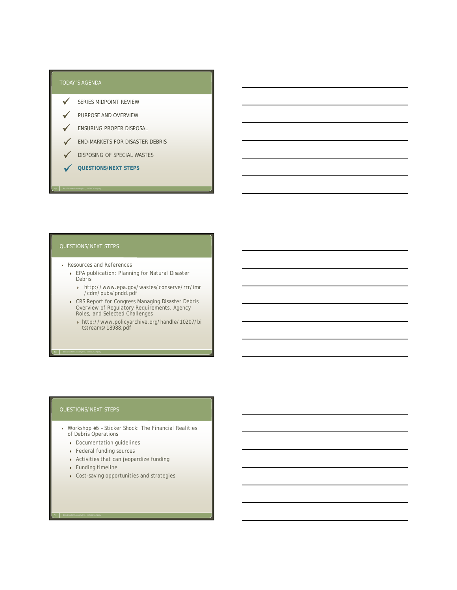- SERIES MIDPOINT REVIEW  $\checkmark$
- PURPOSE AND OVERVIEW  $\checkmark$
- ENSURING PROPER DISPOSAL  $\checkmark$
- END-MARKETS FOR DISASTER DEBRIS  $\checkmark$
- DISPOSING OF SPECIAL WASTES  $\checkmark$
- **QUESTIONS/NEXT STEPS**  $\checkmark$

*49 Beck Disaster Recovery Inc., An SAIC Company*

- Resources and References
	- EPA publication: Planning for Natural Disaster **Debris** 
		- http://www.epa.gov/wastes/conserve/rrr/imr /cdm/pubs/pndd.pdf
	- CRS Report for Congress Managing Disaster Debris Overview of Regulatory Requirements, Agency Roles, and Selected Challenges
		- http://www.policyarchive.org/handle/10207/bi tstreams/18988.pdf

- Workshop #5 Sticker Shock: The Financial Realities of Debris Operations
	- Documentation guidelines
	- ▶ Federal funding sources
	- Activities that can jeopardize funding
	- Funding timeline

*51 Beck Disaster Recovery Inc., An SAIC Company*

Cost-saving opportunities and strategies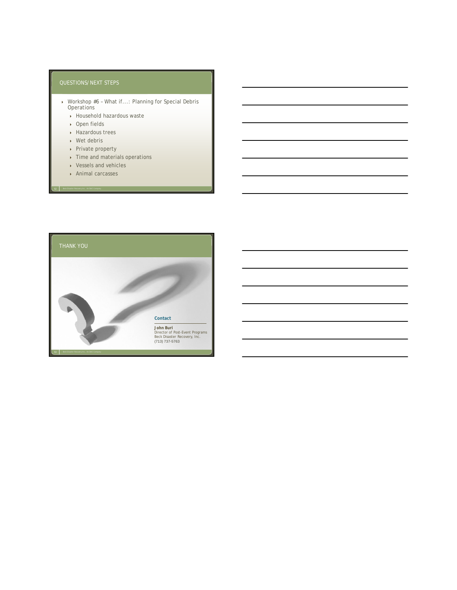- Workshop #6 What if...: Planning for Special Debris **Operations** 
	- Household hazardous waste
	- ▶ Open fields
	- Hazardous trees
	- Wet debris
	- ▶ Private property
	- ▶ Time and materials operations
	- ▶ Vessels and vehicles
	- Animal carcasses

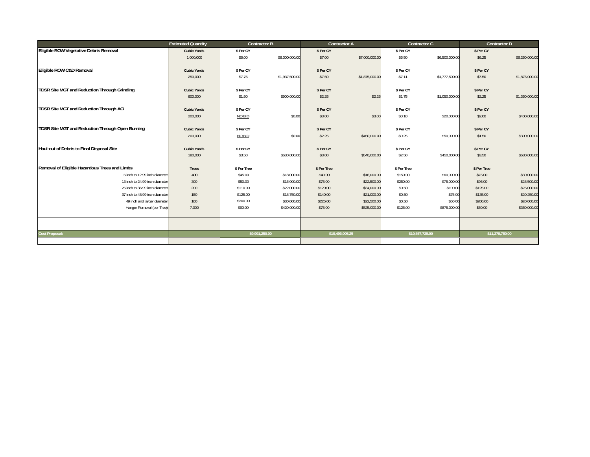|                                                  | <b>Estimated Quantity</b> | <b>Contractor B</b> |                | <b>Contractor A</b> |                | Contractor C    |                | <b>Contractor D</b> |                |
|--------------------------------------------------|---------------------------|---------------------|----------------|---------------------|----------------|-----------------|----------------|---------------------|----------------|
| Eligible ROW Vegetative Debris Removal           | <b>Cubic Yards</b>        | \$ Per CY           |                | \$ Per CY           |                | \$ Per CY       |                | \$ Per CY           |                |
|                                                  | 1,000,000                 | \$6.00              | \$6,000,000.00 | \$7.00              | \$7,000,000.00 | \$6.50          | \$6,500,000.00 | \$6.25              | \$6,250,000.00 |
| Eligible ROW C&D Removal                         | <b>Cubic Yards</b>        | \$ Per CY           |                | \$ Per CY           |                | \$ Per CY       |                | \$ Per CY           |                |
|                                                  | 250,000                   | \$7.75              | \$1,937,500.00 | \$7.50              | \$1,875,000.00 | \$7.11          | \$1,777,500.00 | \$7.50              | \$1,875,000.00 |
| TDSR Site MGT and Reduction Through Grinding     | <b>Cubic Yards</b>        | \$ Per CY           |                | \$ Per CY           |                | \$ Per CY       |                | \$ Per CY           |                |
|                                                  | 600,000                   | \$1.50              | \$900,000.00   | \$2.25              | \$2.25         | \$1.75          | \$1,050,000.00 | \$2.25              | \$1,350,000.00 |
| TDSR Site MGT and Reduction Through ACI          | <b>Cubic Yards</b>        | \$ Per CY           |                | \$ Per CY           |                | \$ Per CY       |                | \$ Per CY           |                |
|                                                  | 200,000                   | NO BID              | \$0.00         | \$3.00              | \$3.00         | \$0.10          | \$20,000.00    | \$2.00              | \$400,000.00   |
| TDSR Site MGT and Reduction Through Open Burning | <b>Cubic Yards</b>        | \$ Per CY           |                | \$ Per CY           |                | \$ Per CY       |                | \$ Per CY           |                |
|                                                  | 200,000                   | NO BID              | \$0.00         | \$2.25              | \$450,000.00   | \$0.25          | \$50,000.00    | \$1.50              | \$300,000.00   |
| Haul-out of Debris to Final Disposal Site        | <b>Cubic Yards</b>        | \$ Per CY           |                | \$ Per CY           |                | \$ Per CY       |                | \$ Per CY           |                |
|                                                  | 180,000                   | \$3.50              | \$630,000.00   | \$3.00              | \$540,000.00   | \$2.50          | \$450,000.00   | \$3.50              | \$630,000.00   |
| Removal of Eligible Hazardous Trees and Limbs    | Trees                     | \$ Per Tree         |                | \$ Per Tree         |                | \$ Per Tree     |                | \$ Per Tree         |                |
| 6 inch to 12.99 inch diameter                    | 400                       | \$45.00             | \$18,000.00    | \$40.00             | \$16,000.00    | \$150.00        | \$60,000.00    | \$75.00             | \$30,000.00    |
| 13 inch to 24.99 inch diameter                   | 300                       | \$50.00             | \$15,000.00    | \$75.00             | \$22,500.00    | \$250.00        | \$75,000.00    | \$95.00             | \$28,500.00    |
| 25 inch to 36.99 inch diameter                   | 200                       | \$110.00            | \$22,000.00    | \$120.00            | \$24,000.00    | \$0.50          | \$100.00       | \$125.00            | \$25,000.00    |
| 37 inch to 48.99 inch diameter                   | 150                       | \$125.00            | \$18,750.00    | \$140.00            | \$21,000.00    | \$0.50          | \$75.00        | \$135.00            | \$20,250.00    |
| 49 inch and larger diameter                      | 100                       | \$300.00            | \$30,000.00    | \$225.00            | \$22,500.00    | \$0.50          | \$50.00        | \$200.00            | \$20,000.00    |
| Hanger Removal (per Tree)                        | 7,000                     | \$60.00             | \$420,000.00   | \$75.00             | \$525,000.00   | \$125.00        | \$875,000.00   | \$50.00             | \$350,000.00   |
|                                                  |                           |                     |                |                     |                |                 |                |                     |                |
| Cost Proposal:                                   |                           | \$9,991,250.00      |                | \$10,496,005.25     |                | \$10,857,725.00 |                | \$11,278,750.00     |                |
|                                                  |                           |                     |                |                     |                |                 |                |                     |                |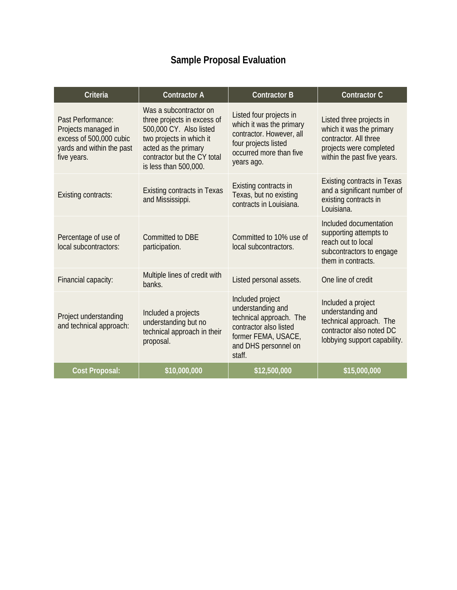# **Sample Proposal Evaluation**

| Criteria                                                                                                        | <b>Contractor A</b>                                                                                                                                                                          | <b>Contractor B</b>                                                                                                                                 | <b>Contractor C</b>                                                                                                                     |
|-----------------------------------------------------------------------------------------------------------------|----------------------------------------------------------------------------------------------------------------------------------------------------------------------------------------------|-----------------------------------------------------------------------------------------------------------------------------------------------------|-----------------------------------------------------------------------------------------------------------------------------------------|
| Past Performance:<br>Projects managed in<br>excess of 500,000 cubic<br>yards and within the past<br>five years. | Was a subcontractor on<br>three projects in excess of<br>500,000 CY. Also listed<br>two projects in which it<br>acted as the primary<br>contractor but the CY total<br>is less than 500,000. | Listed four projects in<br>which it was the primary<br>contractor. However, all<br>four projects listed<br>occurred more than five<br>years ago.    | Listed three projects in<br>which it was the primary<br>contractor. All three<br>projects were completed<br>within the past five years. |
| <b>Existing contracts:</b>                                                                                      | <b>Existing contracts in Texas</b><br>and Mississippi.                                                                                                                                       | Existing contracts in<br>Texas, but no existing<br>contracts in Louisiana.                                                                          | <b>Existing contracts in Texas</b><br>and a significant number of<br>existing contracts in<br>Louisiana.                                |
| Percentage of use of<br>local subcontractors:                                                                   | Committed to DBE<br>participation.                                                                                                                                                           | Committed to 10% use of<br>local subcontractors.                                                                                                    | Included documentation<br>supporting attempts to<br>reach out to local<br>subcontractors to engage<br>them in contracts.                |
| Financial capacity:                                                                                             | Multiple lines of credit with<br>banks.                                                                                                                                                      | Listed personal assets.                                                                                                                             | One line of credit                                                                                                                      |
| Project understanding<br>and technical approach:                                                                | Included a projects<br>understanding but no<br>technical approach in their<br>proposal.                                                                                                      | Included project<br>understanding and<br>technical approach. The<br>contractor also listed<br>former FEMA, USACE,<br>and DHS personnel on<br>staff. | Included a project<br>understanding and<br>technical approach. The<br>contractor also noted DC<br>lobbying support capability.          |
| <b>Cost Proposal:</b>                                                                                           | \$10,000,000                                                                                                                                                                                 | \$12,500,000                                                                                                                                        | \$15,000,000                                                                                                                            |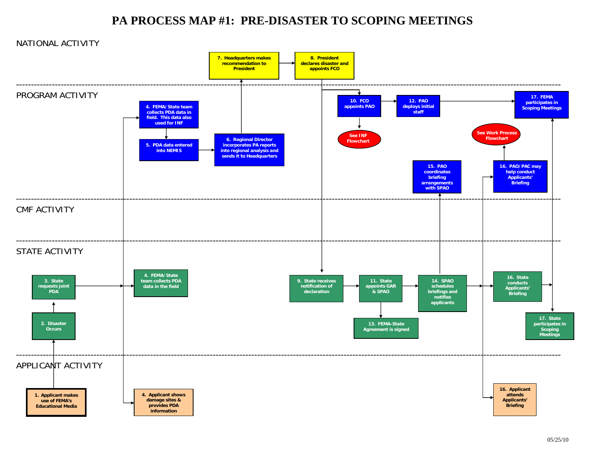# **PA PROCESS MAP #1: PRE-DISASTER TO SCOPING MEETINGS**

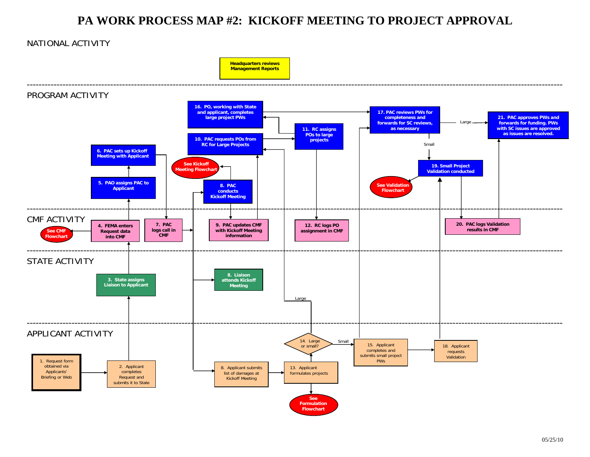# **PA WORK PROCESS MAP #2: KICKOFF MEETING TO PROJECT APPROVAL**

## NATIONAL ACTIVITY

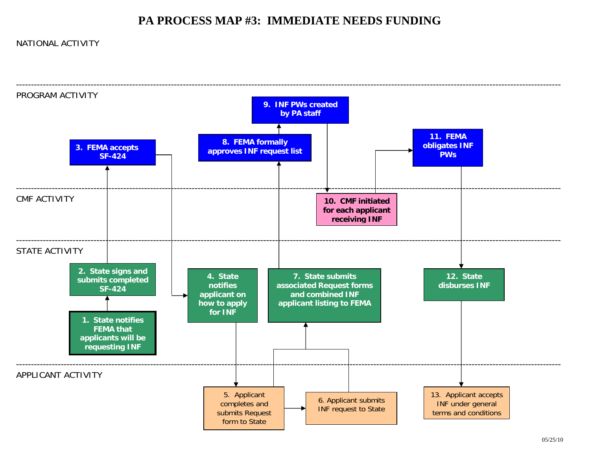# **PA PROCESS MAP #3: IMMEDIATE NEEDS FUNDING**

## NATIONAL ACTIVITY

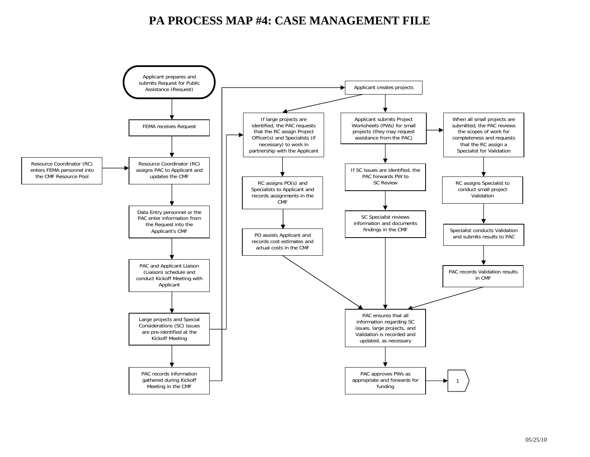# **PA PROCESS MAP #4: CASE MANAGEMENT FILE**

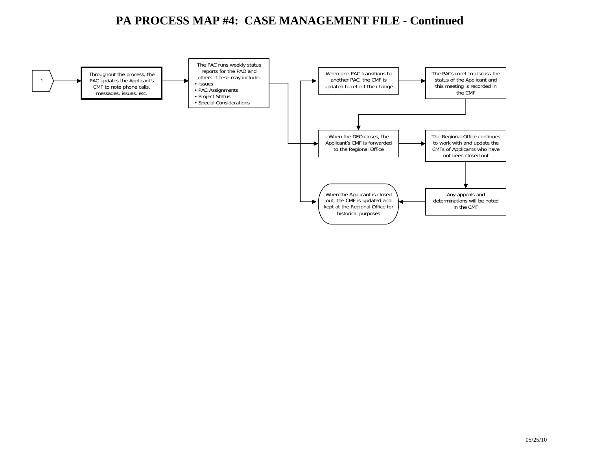# **PA PROCESS MAP #4: CASE MANAGEMENT FILE - Continued**

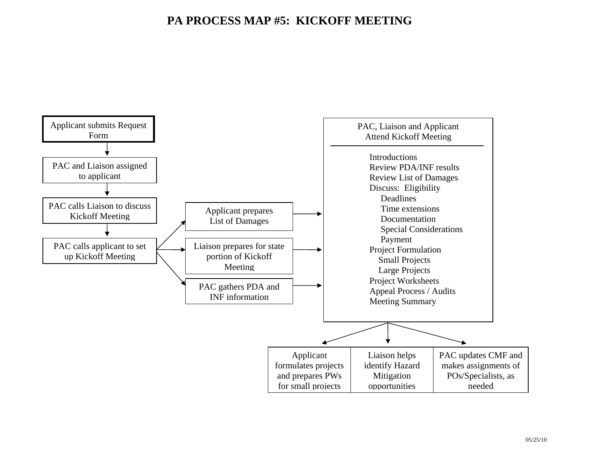# **PA PROCESS MAP #5: KICKOFF MEETING**

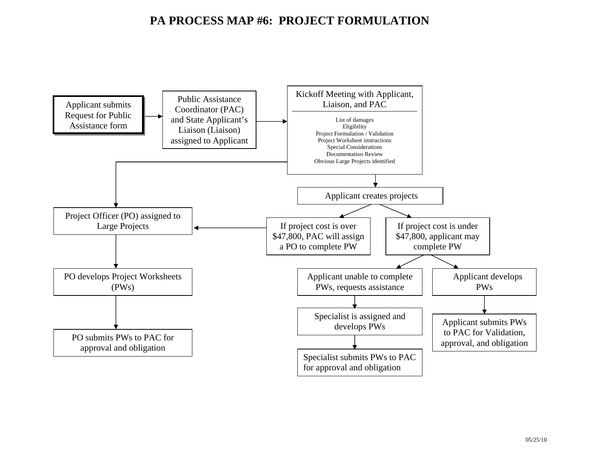# **PA PROCESS MAP #6: PROJECT FORMULATION**